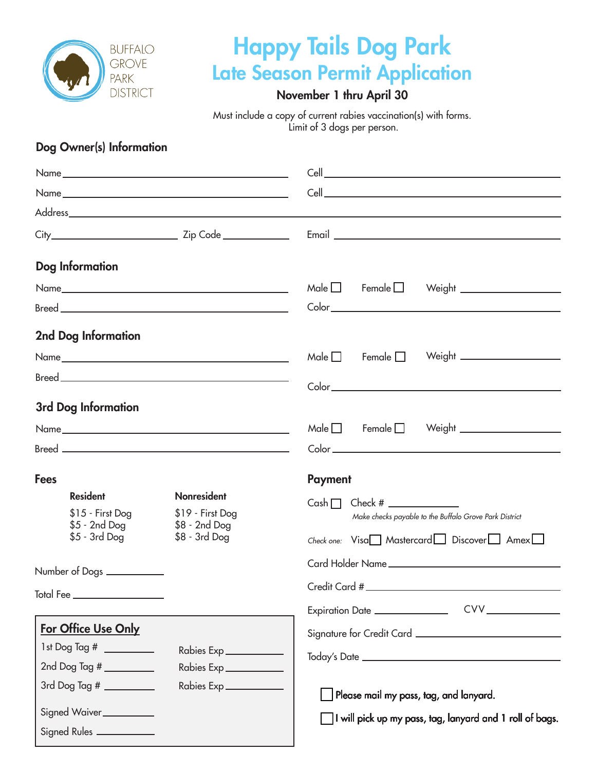

## Happy Tails Dog Park Late Season Permit Application

### November 1 thru April 30

Must include a copy of current rabies vaccination(s) with forms. Limit of 3 dogs per person.

### Dog Owner(s) Information

| <b>Dog Information</b>               |                                  |                                                                       |
|--------------------------------------|----------------------------------|-----------------------------------------------------------------------|
|                                      |                                  | $Male \Box$ Female $\Box$<br>Weight _____________________             |
|                                      |                                  |                                                                       |
| 2nd Dog Information                  |                                  |                                                                       |
|                                      |                                  | Weight _______________________<br>Male $\square$<br>Female $\Box$     |
|                                      |                                  |                                                                       |
| 3rd Dog Information                  |                                  |                                                                       |
|                                      |                                  | Weight $\_$<br>$Male \Box$ Female $\Box$                              |
|                                      |                                  |                                                                       |
| <b>Fees</b>                          |                                  | <b>Payment</b>                                                        |
| <b>Resident</b><br>$$15 - First Dog$ | Nonresident<br>\$19 - First Dog  | Cash $\Box$<br>Make checks payable to the Buffalo Grove Park District |
| \$5 - 2nd Dog<br>$$5 - 3rd$ Dog      | $$8 - 2nd$ Dog<br>$$8 - 3rd$ Dog |                                                                       |
|                                      |                                  | $Check one: \; Visa \quad Massercard \quad Discover \quad \quad Amer$ |
| Number of Dogs ___________           |                                  |                                                                       |
| Total Fee ____________________       |                                  |                                                                       |
|                                      |                                  | Expiration Date ______________                                        |
| For Office Use Only                  |                                  |                                                                       |
|                                      | Rabies Exp                       |                                                                       |
| 2nd Dog Tag #                        | Rabies Exp                       |                                                                       |
| 3rd Dog Tag # __________             | Rabies Exp ____________          | Please mail my pass, tag, and lanyard.                                |
| Signed Waiver__________              |                                  | I will pick up my pass, tag, lanyard and 1 roll of bags.              |
| Signed Rules ___________             |                                  |                                                                       |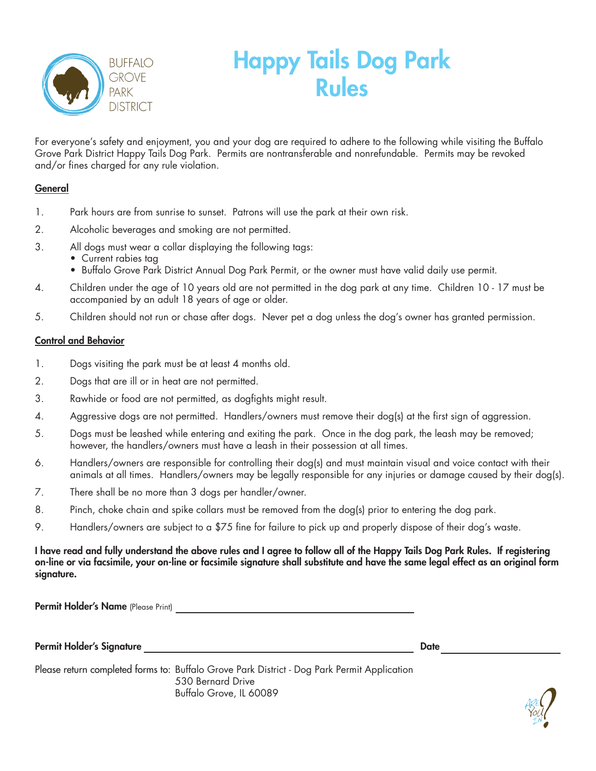

# Happy Tails Dog Park Rules

For everyone's safety and enjoyment, you and your dog are required to adhere to the following while visiting the Buffalo Grove Park District Happy Tails Dog Park. Permits are nontransferable and nonrefundable. Permits may be revoked and/or fines charged for any rule violation.

### **General**

- 1. Park hours are from sunrise to sunset. Patrons will use the park at their own risk.
- 2. Alcoholic beverages and smoking are not permitted.
- 3. All dogs must wear a collar displaying the following tags:
	- Current rabies tag
	- Buffalo Grove Park District Annual Dog Park Permit, or the owner must have valid daily use permit.
- 4. Children under the age of 10 years old are not permitted in the dog park at any time. Children 10 17 must be accompanied by an adult 18 years of age or older.
- 5. Children should not run or chase after dogs. Never pet a dog unless the dog's owner has granted permission.

### Control and Behavior

- 1. Dogs visiting the park must be at least 4 months old.
- 2. Dogs that are ill or in heat are not permitted.
- 3. Rawhide or food are not permitted, as dogfights might result.
- 4. Aggressive dogs are not permitted. Handlers/owners must remove their dog(s) at the first sign of aggression.
- 5. Dogs must be leashed while entering and exiting the park. Once in the dog park, the leash may be removed; however, the handlers/owners must have a leash in their possession at all times.
- 6. Handlers/owners are responsible for controlling their dog(s) and must maintain visual and voice contact with their animals at all times. Handlers/owners may be legally responsible for any injuries or damage caused by their dog(s).
- 7. There shall be no more than 3 dogs per handler/owner.
- 8. Pinch, choke chain and spike collars must be removed from the dog(s) prior to entering the dog park.
- 9. Handlers/owners are subject to a \$75 fine for failure to pick up and properly dispose of their dog's waste.

I have read and fully understand the above rules and I agree to follow all of the Happy Tails Dog Park Rules. If registering on-line or via facsimile, your on-line or facsimile signature shall substitute and have the same legal effect as an original form signature.

Permit Holder's Name (Please Print)

Permit Holder's Signature Date

Please return completed forms to: Buffalo Grove Park District - Dog Park Permit Application 530 Bernard Drive Buffalo Grove, IL 60089